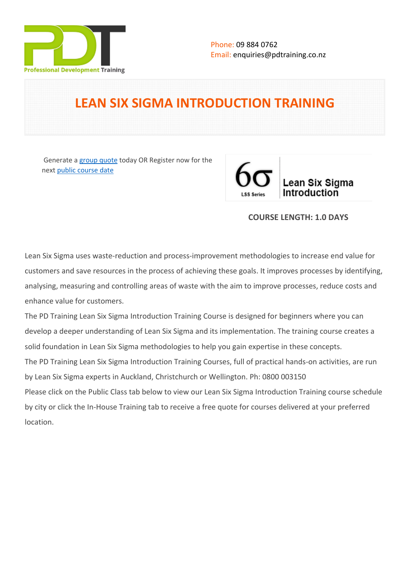

# **LEAN SIX SIGMA INTRODUCTION TRAINING**

 Generate a [group quote](https://pdtraining.co.nz/inhouse-training-quote?cse=PDT0047) today OR Register now for the next [public course date](https://pdtraining.co.nz/booking?schedulecode=hK4eCN24IvxxaqrKFvsmntuzmRVAItOWqLixlZ67jvQC9WkvOA4g7fsYqE1V1CvoQLhzi2xPzuc1M1zAGzVizIZkttiQ7kgR9BVyOVnVboRNcAmxfBpCQnZiW7fYURRoov1kfbVUmagk0lh2hTLG5N&countryCode=NZ¤cyCode=NZ)



#### **COURSE LENGTH: 1.0 DAYS**

Lean Six Sigma uses waste-reduction and process-improvement methodologies to increase end value for customers and save resources in the process of achieving these goals. It improves processes by identifying, analysing, measuring and controlling areas of waste with the aim to improve processes, reduce costs and enhance value for customers.

The PD Training Lean Six Sigma Introduction Training Course is designed for beginners where you can develop a deeper understanding of Lean Six Sigma and its implementation. The training course creates a solid foundation in Lean Six Sigma methodologies to help you gain expertise in these concepts. The PD Training Lean Six Sigma Introduction Training Courses, full of practical hands-on activities, are run by Lean Six Sigma experts in Auckland, Christchurch or Wellington. Ph: 0800 003150 Please click on the Public Class tab below to view our Lean Six Sigma Introduction Training course schedule by city or click the In-House Training tab to receive a free quote for courses delivered at your preferred location.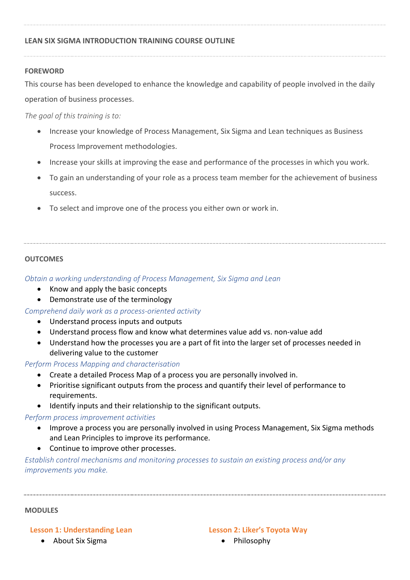### **LEAN SIX SIGMA INTRODUCTION TRAINING COURSE OUTLINE**

#### **FOREWORD**

This course has been developed to enhance the knowledge and capability of people involved in the daily operation of business processes.

*The goal of this training is to:*

- Increase your knowledge of Process Management, Six Sigma and Lean techniques as Business Process Improvement methodologies.
- Increase your skills at improving the ease and performance of the processes in which you work.
- To gain an understanding of your role as a process team member for the achievement of business success.
- To select and improve one of the process you either own or work in.

#### **OUTCOMES**

*Obtain a working understanding of Process Management, Six Sigma and Lean*

- Know and apply the basic concepts
- Demonstrate use of the terminology

*Comprehend daily work as a process-oriented activity*

- Understand process inputs and outputs
- Understand process flow and know what determines value add vs. non-value add
- Understand how the processes you are a part of fit into the larger set of processes needed in delivering value to the customer

*Perform Process Mapping and characterisation*

- Create a detailed Process Map of a process you are personally involved in.
- Prioritise significant outputs from the process and quantify their level of performance to requirements.
- Identify inputs and their relationship to the significant outputs.

#### *Perform process improvement activities*

- Improve a process you are personally involved in using Process Management, Six Sigma methods and Lean Principles to improve its performance.
- Continue to improve other processes.

*Establish control mechanisms and monitoring processes to sustain an existing process and/or any improvements you make.*

#### **MODULES**

#### **Lesson 1: Understanding Lean**

• About Six Sigma

#### **Lesson 2: Liker's Toyota Way**

• Philosophy